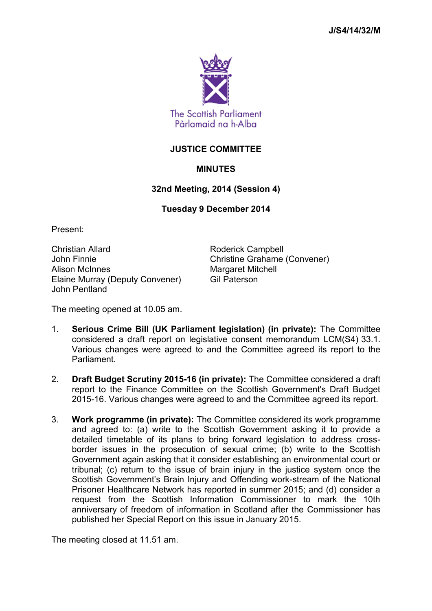

# **JUSTICE COMMITTEE**

# **MINUTES**

## **32nd Meeting, 2014 (Session 4)**

### **Tuesday 9 December 2014**

Present:

Christian Allard **Roderick Campbell** John Finnie Christine Grahame (Convener) Alison McInnes Manual Margaret Mitchell Elaine Murray (Deputy Convener) Gil Paterson John Pentland

The meeting opened at 10.05 am.

- 1. **Serious Crime Bill (UK Parliament legislation) (in private):** The Committee considered a draft report on legislative consent memorandum LCM(S4) 33.1. Various changes were agreed to and the Committee agreed its report to the **Parliament**
- 2. **Draft Budget Scrutiny 2015-16 (in private):** The Committee considered a draft report to the Finance Committee on the Scottish Government's Draft Budget 2015-16. Various changes were agreed to and the Committee agreed its report.
- 3. **Work programme (in private):** The Committee considered its work programme and agreed to: (a) write to the Scottish Government asking it to provide a detailed timetable of its plans to bring forward legislation to address crossborder issues in the prosecution of sexual crime; (b) write to the Scottish Government again asking that it consider establishing an environmental court or tribunal; (c) return to the issue of brain injury in the justice system once the Scottish Government's Brain Injury and Offending work-stream of the National Prisoner Healthcare Network has reported in summer 2015; and (d) consider a request from the Scottish Information Commissioner to mark the 10th anniversary of freedom of information in Scotland after the Commissioner has published her Special Report on this issue in January 2015.

The meeting closed at 11.51 am.